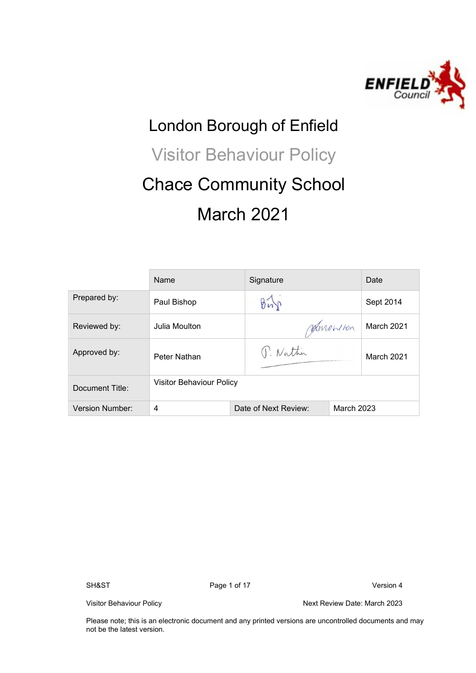

# London Borough of Enfield Visitor Behaviour Policy Chace Community School March 2021

|                        | Name                            | Signature            |            | Date       |
|------------------------|---------------------------------|----------------------|------------|------------|
| Prepared by:           | Paul Bishop                     | Bin                  |            | Sept 2014  |
| Reviewed by:           | Julia Moulton                   |                      | Hanow ton  | March 2021 |
| Approved by:           | Peter Nathan                    | P. Nathin            |            | March 2021 |
| Document Title:        | <b>Visitor Behaviour Policy</b> |                      |            |            |
| <b>Version Number:</b> | 4                               | Date of Next Review: | March 2023 |            |

SH&ST Page 1 of 17 Version 4

Visitor Behaviour Policy Next Review Date: March 2023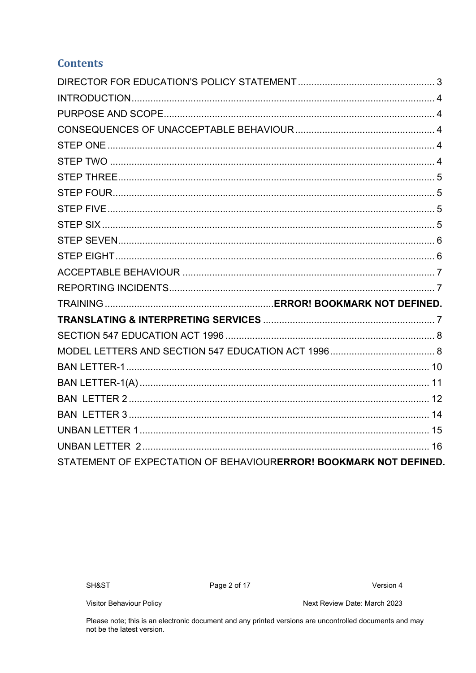## **Contents**

| STATEMENT OF EXPECTATION OF BEHAVIOURERROR! BOOKMARK NOT DEFINED. |  |
|-------------------------------------------------------------------|--|

Visitor Behaviour Policy

Next Review Date: March 2023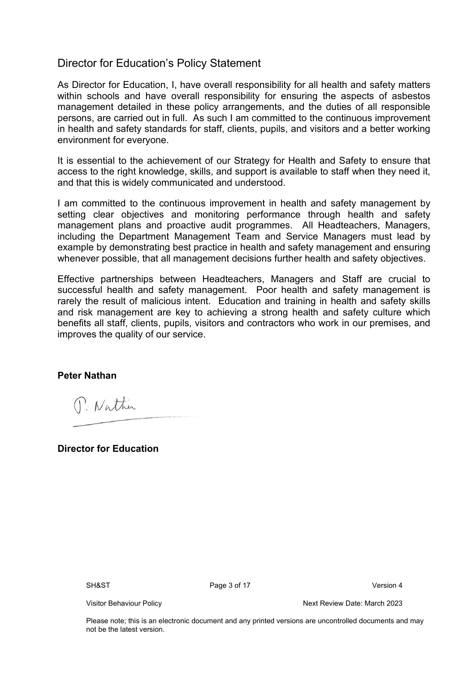#### <span id="page-2-0"></span>Director for Education's Policy Statement

As Director for Education, I, have overall responsibility for all health and safety matters within schools and have overall responsibility for ensuring the aspects of asbestos management detailed in these policy arrangements, and the duties of all responsible persons, are carried out in full. As such I am committed to the continuous improvement in health and safety standards for staff, clients, pupils, and visitors and a better working environment for everyone.

It is essential to the achievement of our Strategy for Health and Safety to ensure that access to the right knowledge, skills, and support is available to staff when they need it, and that this is widely communicated and understood.

I am committed to the continuous improvement in health and safety management by setting clear objectives and monitoring performance through health and safety management plans and proactive audit programmes. All Headteachers, Managers, including the Department Management Team and Service Managers must lead by example by demonstrating best practice in health and safety management and ensuring whenever possible, that all management decisions further health and safety objectives.

Effective partnerships between Headteachers, Managers and Staff are crucial to successful health and safety management. Poor health and safety management is rarely the result of malicious intent. Education and training in health and safety skills and risk management are key to achieving a strong health and safety culture which benefits all staff, clients, pupils, visitors and contractors who work in our premises, and improves the quality of our service.

#### **Peter Nathan**

P. Nathin

**Director for Education**

SH&ST Page 3 of 17 Version 4

Visitor Behaviour Policy **Next Review Date: March 2023**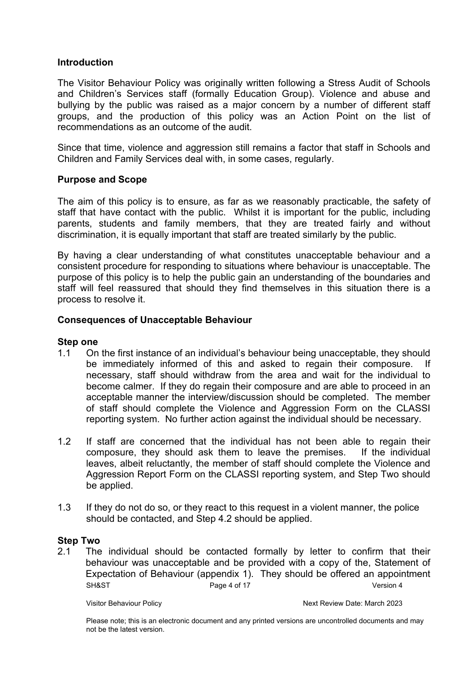#### <span id="page-3-0"></span>**Introduction**

The Visitor Behaviour Policy was originally written following a Stress Audit of Schools and Children's Services staff (formally Education Group). Violence and abuse and bullying by the public was raised as a major concern by a number of different staff groups, and the production of this policy was an Action Point on the list of recommendations as an outcome of the audit.

Since that time, violence and aggression still remains a factor that staff in Schools and Children and Family Services deal with, in some cases, regularly.

#### <span id="page-3-1"></span>**Purpose and Scope**

The aim of this policy is to ensure, as far as we reasonably practicable, the safety of staff that have contact with the public. Whilst it is important for the public, including parents, students and family members, that they are treated fairly and without discrimination, it is equally important that staff are treated similarly by the public.

By having a clear understanding of what constitutes unacceptable behaviour and a consistent procedure for responding to situations where behaviour is unacceptable. The purpose of this policy is to help the public gain an understanding of the boundaries and staff will feel reassured that should they find themselves in this situation there is a process to resolve it.

#### <span id="page-3-3"></span><span id="page-3-2"></span>**Consequences of Unacceptable Behaviour**

#### **Step one**

- 1.1 On the first instance of an individual's behaviour being unacceptable, they should be immediately informed of this and asked to regain their composure. If necessary, staff should withdraw from the area and wait for the individual to become calmer. If they do regain their composure and are able to proceed in an acceptable manner the interview/discussion should be completed. The member of staff should complete the Violence and Aggression Form on the CLASSI reporting system. No further action against the individual should be necessary.
- 1.2 If staff are concerned that the individual has not been able to regain their composure, they should ask them to leave the premises. If the individual leaves, albeit reluctantly, the member of staff should complete the Violence and Aggression Report Form on the CLASSI reporting system, and Step Two should be applied.
- 1.3 If they do not do so, or they react to this request in a violent manner, the police should be contacted, and Step 4.2 should be applied.

#### **Step Two**

SH&ST Page 4 of 17 Version 4 2.1 The individual should be contacted formally by letter to confirm that their behaviour was unacceptable and be provided with a copy of the, Statement of Expectation of Behaviour (appendix 1). They should be offered an appointment

<span id="page-3-4"></span>

Visitor Behaviour Policy **Next Review Date: March 2023**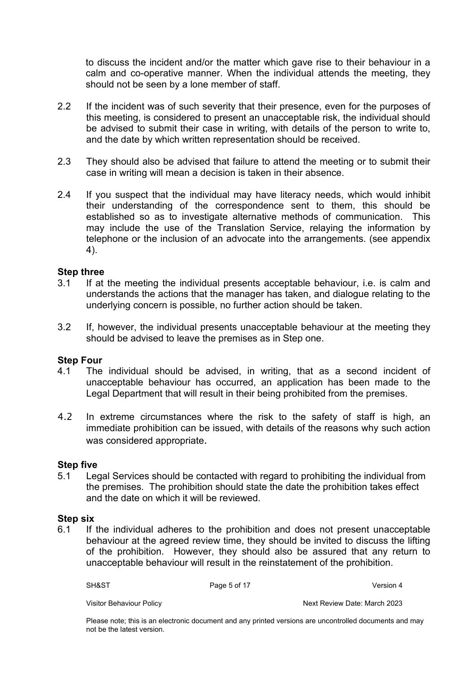to discuss the incident and/or the matter which gave rise to their behaviour in a calm and co-operative manner. When the individual attends the meeting, they should not be seen by a lone member of staff.

- 2.2 If the incident was of such severity that their presence, even for the purposes of this meeting, is considered to present an unacceptable risk, the individual should be advised to submit their case in writing, with details of the person to write to, and the date by which written representation should be received.
- 2.3 They should also be advised that failure to attend the meeting or to submit their case in writing will mean a decision is taken in their absence.
- 2.4 If you suspect that the individual may have literacy needs, which would inhibit their understanding of the correspondence sent to them, this should be established so as to investigate alternative methods of communication. This may include the use of the Translation Service, relaying the information by telephone or the inclusion of an advocate into the arrangements. (see appendix 4).

#### <span id="page-4-0"></span>**Step three**

- 3.1 If at the meeting the individual presents acceptable behaviour, i.e. is calm and understands the actions that the manager has taken, and dialogue relating to the underlying concern is possible, no further action should be taken.
- 3.2 If, however, the individual presents unacceptable behaviour at the meeting they should be advised to leave the premises as in Step one.

## <span id="page-4-1"></span>**Step Four**<br>4.1 The

- The individual should be advised, in writing, that as a second incident of unacceptable behaviour has occurred, an application has been made to the Legal Department that will result in their being prohibited from the premises.
- 4.2 In extreme circumstances where the risk to the safety of staff is high, an immediate prohibition can be issued, with details of the reasons why such action was considered appropriate.

#### <span id="page-4-2"></span>**Step five**

5.1 Legal Services should be contacted with regard to prohibiting the individual from the premises. The prohibition should state the date the prohibition takes effect and the date on which it will be reviewed.

#### <span id="page-4-3"></span>**Step six**

6.1 If the individual adheres to the prohibition and does not present unacceptable behaviour at the agreed review time, they should be invited to discuss the lifting of the prohibition. However, they should also be assured that any return to unacceptable behaviour will result in the reinstatement of the prohibition.

SH&ST Page 5 of 17 Version 4

Visitor Behaviour Policy **Next Review Date: March 2023**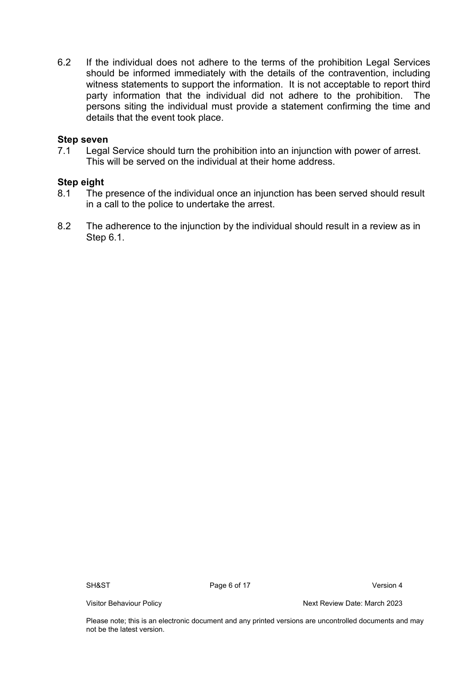6.2 If the individual does not adhere to the terms of the prohibition Legal Services should be informed immediately with the details of the contravention, including witness statements to support the information. It is not acceptable to report third party information that the individual did not adhere to the prohibition. The persons siting the individual must provide a statement confirming the time and details that the event took place.

#### <span id="page-5-0"></span>**Step seven**

7.1 Legal Service should turn the prohibition into an injunction with power of arrest. This will be served on the individual at their home address.

#### <span id="page-5-1"></span>**Step eight**

- 8.1 The presence of the individual once an injunction has been served should result in a call to the police to undertake the arrest.
- <span id="page-5-2"></span>8.2 The adherence to the injunction by the individual should result in a review as in Step 6.1.

SH&ST Page 6 of 17 Version 4

Visitor Behaviour Policy **Next Review Date: March 2023**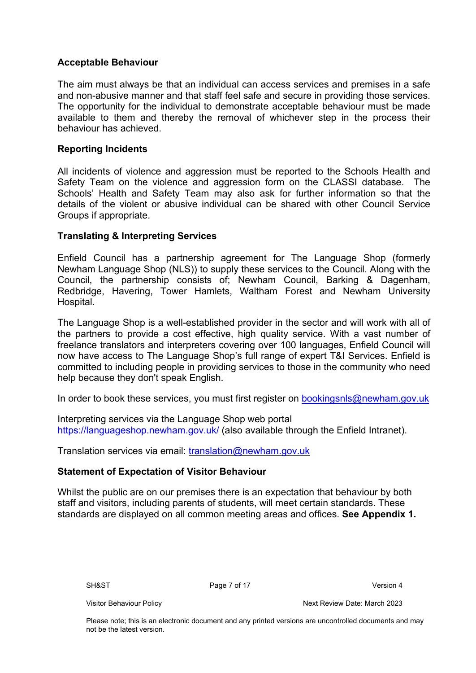#### **Acceptable Behaviour**

The aim must always be that an individual can access services and premises in a safe and non-abusive manner and that staff feel safe and secure in providing those services. The opportunity for the individual to demonstrate acceptable behaviour must be made available to them and thereby the removal of whichever step in the process their behaviour has achieved.

#### <span id="page-6-0"></span>**Reporting Incidents**

All incidents of violence and aggression must be reported to the Schools Health and Safety Team on the violence and aggression form on the CLASSI database. The Schools' Health and Safety Team may also ask for further information so that the details of the violent or abusive individual can be shared with other Council Service Groups if appropriate.

#### <span id="page-6-1"></span>**Translating & Interpreting Services**

Enfield Council has a partnership agreement for The Language Shop (formerly Newham Language Shop (NLS)) to supply these services to the Council. Along with the Council, the partnership consists of; Newham Council, Barking & Dagenham, Redbridge, Havering, Tower Hamlets, Waltham Forest and Newham University Hospital.

The Language Shop is a well-established provider in the sector and will work with all of the partners to provide a cost effective, high quality service. With a vast number of freelance translators and interpreters covering over 100 languages, Enfield Council will now have access to The Language Shop's full range of expert T&I Services. Enfield is committed to including people in providing services to those in the community who need help because they don't speak English.

In order to book these services, you must first register on [bookingsnls@newham.gov.uk](mailto:bookingsnls@newham.gov.uk)

Interpreting services via the Language Shop web portal <https://languageshop.newham.gov.uk/> (also available through the Enfield Intranet).

Translation services via email: [translation@newham.gov.uk](mailto:translation@newham.gov.uk)

#### **Statement of Expectation of Visitor Behaviour**

Whilst the public are on our premises there is an expectation that behaviour by both staff and visitors, including parents of students, will meet certain standards. These standards are displayed on all common meeting areas and offices. **See Appendix 1.**

SH&ST Page 7 of 17 Version 4

Visitor Behaviour Policy **Next Review Date: March 2023**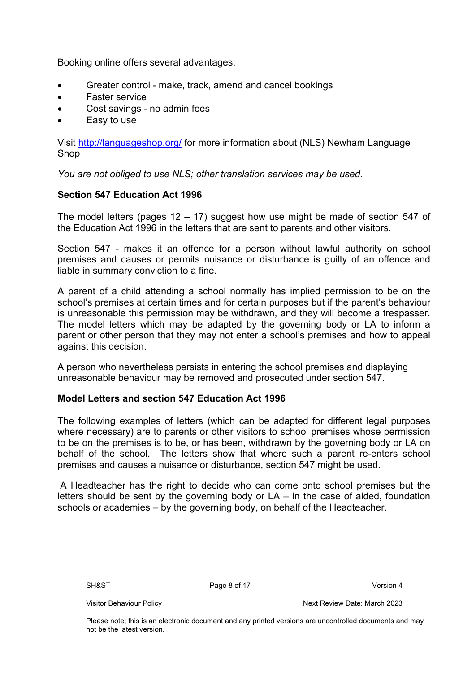Booking online offers several advantages:

- Greater control make, track, amend and cancel bookings
- Faster service
- Cost savings no admin fees
- Easy to use

Visit <http://languageshop.org/> for more information about (NLS) Newham Language Shop

*You are not obliged to use NLS; other translation services may be used.*

#### <span id="page-7-0"></span>**Section 547 Education Act 1996**

The model letters (pages  $12 - 17$ ) suggest how use might be made of section 547 of the Education Act 1996 in the letters that are sent to parents and other visitors.

Section 547 - makes it an offence for a person without lawful authority on school premises and causes or permits nuisance or disturbance is guilty of an offence and liable in summary conviction to a fine.

A parent of a child attending a school normally has implied permission to be on the school's premises at certain times and for certain purposes but if the parent's behaviour is unreasonable this permission may be withdrawn, and they will become a trespasser. The model letters which may be adapted by the governing body or LA to inform a parent or other person that they may not enter a school's premises and how to appeal against this decision.

A person who nevertheless persists in entering the school premises and displaying unreasonable behaviour may be removed and prosecuted under section 547.

#### <span id="page-7-1"></span>**Model Letters and section 547 Education Act 1996**

The following examples of letters (which can be adapted for different legal purposes where necessary) are to parents or other visitors to school premises whose permission to be on the premises is to be, or has been, withdrawn by the governing body or LA on behalf of the school. The letters show that where such a parent re-enters school premises and causes a nuisance or disturbance, section 547 might be used.

A Headteacher has the right to decide who can come onto school premises but the letters should be sent by the governing body or LA – in the case of aided, foundation schools or academies – by the governing body, on behalf of the Headteacher.

SH&ST Page 8 of 17 Version 4

Visitor Behaviour Policy **Next Review Date: March 2023**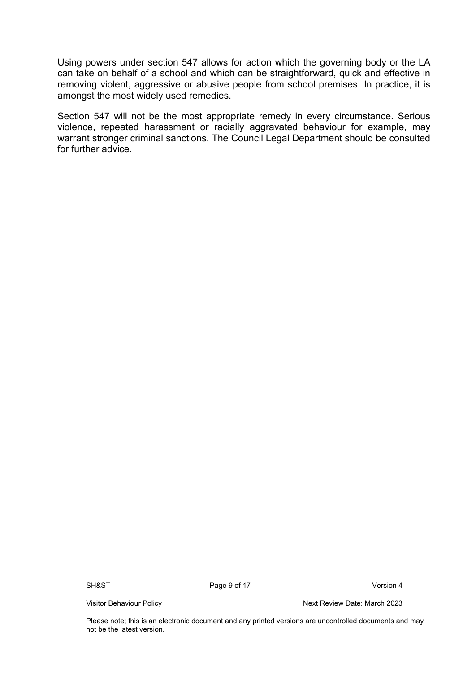Using powers under section 547 allows for action which the governing body or the LA can take on behalf of a school and which can be straightforward, quick and effective in removing violent, aggressive or abusive people from school premises. In practice, it is amongst the most widely used remedies.

<span id="page-8-0"></span>Section 547 will not be the most appropriate remedy in every circumstance. Serious violence, repeated harassment or racially aggravated behaviour for example, may warrant stronger criminal sanctions. The Council Legal Department should be consulted for further advice.

SH&ST Page 9 of 17 Version 4

Visitor Behaviour Policy **Next Review Date: March 2023**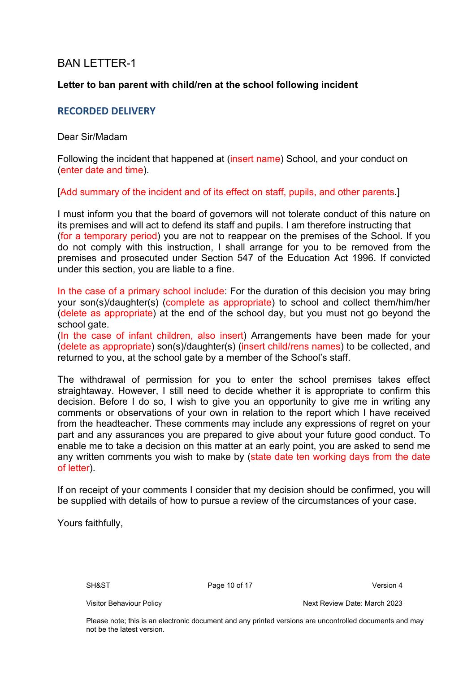## BAN LETTER-1

#### **Letter to ban parent with child/ren at the school following incident**

#### **RECORDED DELIVERY**

#### Dear Sir/Madam

Following the incident that happened at (insert name) School, and your conduct on (enter date and time).

[Add summary of the incident and of its effect on staff, pupils, and other parents.]

I must inform you that the board of governors will not tolerate conduct of this nature on its premises and will act to defend its staff and pupils. I am therefore instructing that (for a temporary period) you are not to reappear on the premises of the School. If you do not comply with this instruction, I shall arrange for you to be removed from the premises and prosecuted under Section 547 of the Education Act 1996. If convicted under this section, you are liable to a fine.

In the case of a primary school include: For the duration of this decision you may bring your son(s)/daughter(s) (complete as appropriate) to school and collect them/him/her (delete as appropriate) at the end of the school day, but you must not go beyond the school gate.

(In the case of infant children, also insert) Arrangements have been made for your (delete as appropriate) son(s)/daughter(s) (insert child/rens names) to be collected, and returned to you, at the school gate by a member of the School's staff.

The withdrawal of permission for you to enter the school premises takes effect straightaway. However, I still need to decide whether it is appropriate to confirm this decision. Before I do so, I wish to give you an opportunity to give me in writing any comments or observations of your own in relation to the report which I have received from the headteacher. These comments may include any expressions of regret on your part and any assurances you are prepared to give about your future good conduct. To enable me to take a decision on this matter at an early point, you are asked to send me any written comments you wish to make by (state date ten working days from the date of letter).

If on receipt of your comments I consider that my decision should be confirmed, you will be supplied with details of how to pursue a review of the circumstances of your case.

Yours faithfully,

SH&ST Page 10 of 17 CHA Provides a Version 4

Visitor Behaviour Policy **Next Review Date: March 2023**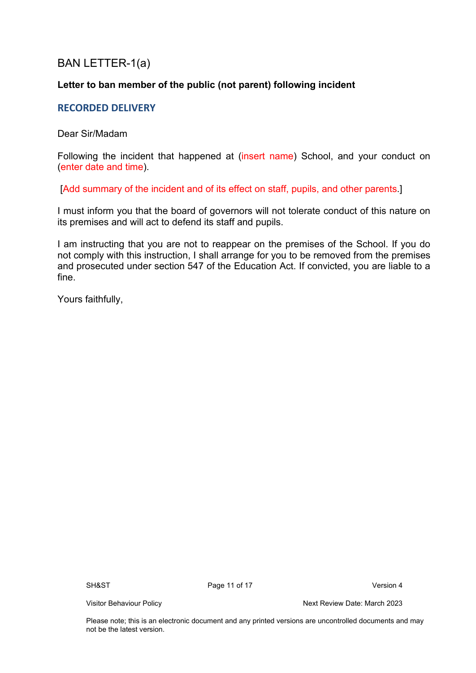## <span id="page-10-0"></span>BAN LETTER-1(a)

#### **Letter to ban member of the public (not parent) following incident**

#### **RECORDED DELIVERY**

Dear Sir/Madam

Following the incident that happened at (insert name) School, and your conduct on (enter date and time).

[Add summary of the incident and of its effect on staff, pupils, and other parents.]

I must inform you that the board of governors will not tolerate conduct of this nature on its premises and will act to defend its staff and pupils.

I am instructing that you are not to reappear on the premises of the School. If you do not comply with this instruction, I shall arrange for you to be removed from the premises and prosecuted under section 547 of the Education Act. If convicted, you are liable to a fine.

Yours faithfully,

SH&ST Page 11 of 17 CHA Provides a Version 4

Visitor Behaviour Policy **Next Review Date: March 2023**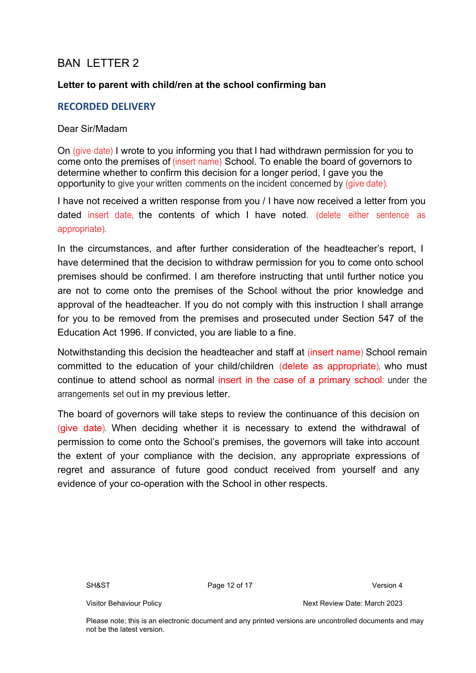## <span id="page-11-0"></span>BAN LETTER 2

#### **Letter to parent with child/ren at the school confirming ban**

#### **RECORDED DELIVERY**

#### Dear Sir/Madam

On (give date) I wrote to you informing you that I had withdrawn permission for you to come onto the premises of (insert name) School. To enable the board of governors to determine whether to confirm this decision for a longer period, I gave you the opportunity to give your written comments on the incident concerned by (give date).

I have not received a written response from you / I have now received a letter from you dated insert date, the contents of which I have noted. (delete either sentence as appropriate).

In the circumstances, and after further consideration of the headteacher's report, I have determined that the decision to withdraw permission for you to come onto school premises should be confirmed. I am therefore instructing that until further notice you are not to come onto the premises of the School without the prior knowledge and approval of the headteacher. If you do not comply with this instruction I shall arrange for you to be removed from the premises and prosecuted under Section 547 of the Education Act 1996. If convicted, you are liable to a fine.

Notwithstanding this decision the headteacher and staff at (insert name) School remain committed to the education of your child/children (delete as appropriate), who must continue to attend school as normal insert in the case of a primary school: under the arrangements set out in my previous letter.

The board of governors will take steps to review the continuance of this decision on (give date). When deciding whether it is necessary to extend the withdrawal of permission to come onto the School's premises, the governors will take into account the extent of your compliance with the decision, any appropriate expressions of regret and assurance of future good conduct received from yourself and any evidence of your co-operation with the School in other respects.

SH&ST Page 12 of 17 Version 4

Visitor Behaviour Policy **Next Review Date: March 2023**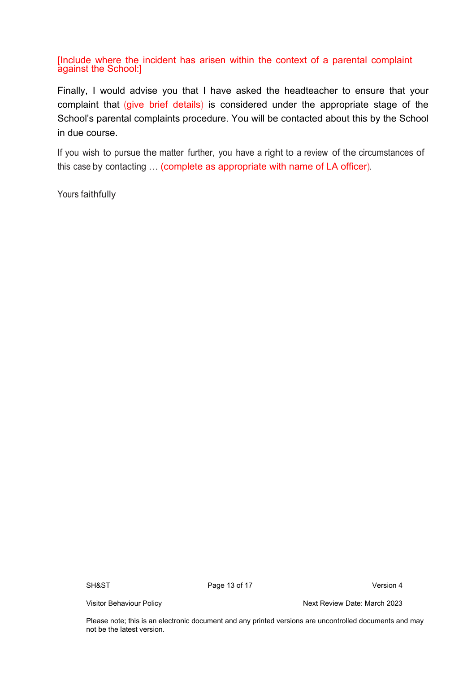[Include where the incident has arisen within the context of a parental complaint against the School:]

Finally, I would advise you that I have asked the headteacher to ensure that your complaint that (give brief details) is considered under the appropriate stage of the School's parental complaints procedure. You will be contacted about this by the School in due course.

If you wish to pursue the matter further, you have a right to a review of the circumstances of this case by contacting … (complete as appropriate with name of LA officer).

Yours faithfully

SH&ST Page 13 of 17 CHA Provides a Version 4

Visitor Behaviour Policy **Next Review Date: March 2023**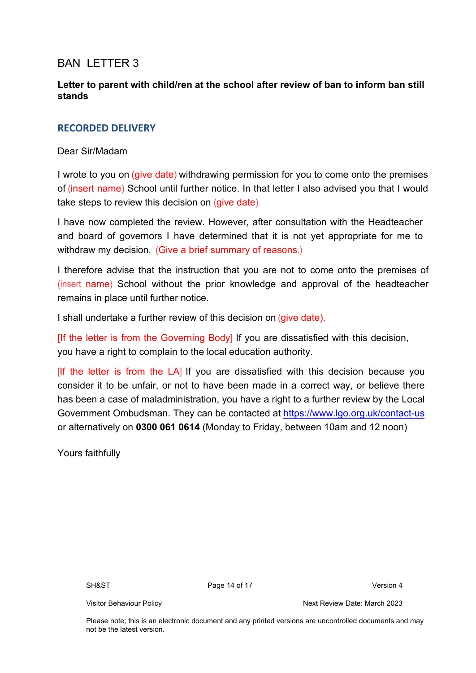## <span id="page-13-0"></span>BAN LETTER 3

#### **Letter to parent with child/ren at the school after review of ban to inform ban still stands**

#### **RECORDED DELIVERY**

#### Dear Sir/Madam

I wrote to you on (give date) withdrawing permission for you to come onto the premises of (insert name) School until further notice. In that letter I also advised you that I would take steps to review this decision on (give date).

I have now completed the review. However, after consultation with the Headteacher and board of governors I have determined that it is not yet appropriate for me to withdraw my decision. (Give a brief summary of reasons.)

I therefore advise that the instruction that you are not to come onto the premises of (insert name) School without the prior knowledge and approval of the headteacher remains in place until further notice.

I shall undertake a further review of this decision on (give date).

[If the letter is from the Governing Body] If you are dissatisfied with this decision, you have a right to complain to the local education authority.

[If the letter is from the LA] If you are dissatisfied with this decision because you consider it to be unfair, or not to have been made in a correct way, or believe there has been a case of maladministration, you have a right to a further review by the Local Government Ombudsman. They can be contacted at <https://www.lgo.org.uk/contact-us> or alternatively on **0300 061 0614** (Monday to Friday, between 10am and 12 noon)

Yours faithfully

SH&ST Page 14 of 17 Page 14 of 17 Page 14 of 17 Page 14 of 17 Page 14 of 17 Page 14 of 17 Page 18 Page 18 Of 20

Visitor Behaviour Policy **Next Review Date: March 2023**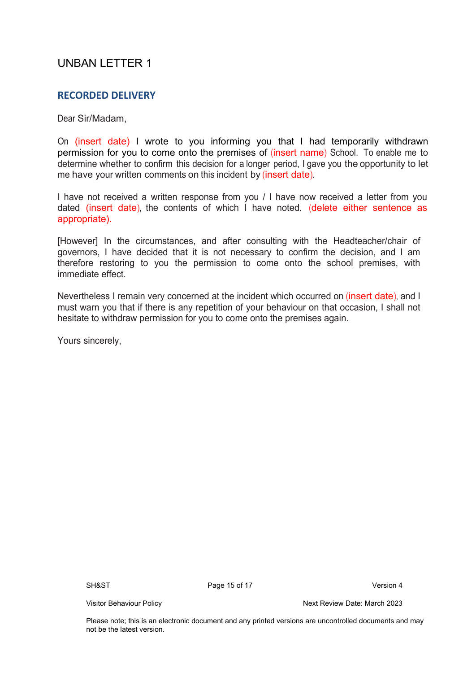## <span id="page-14-0"></span>UNBAN LETTER 1

#### **RECORDED DELIVERY**

Dear Sir/Madam,

On (insert date) I wrote to you informing you that I had temporarily withdrawn permission for you to come onto the premises of (insert name) School. To enable me to determine whether to confirm this decision for a longer period, I gave you the opportunity to let me have your written comments on this incident by (insert date).

I have not received a written response from you / I have now received a letter from you dated (insert date), the contents of which I have noted. (delete either sentence as appropriate).

[However] In the circumstances, and after consulting with the Headteacher/chair of governors, I have decided that it is not necessary to confirm the decision, and I am therefore restoring to you the permission to come onto the school premises, with immediate effect.

Nevertheless I remain very concerned at the incident which occurred on (insert date), and I must warn you that if there is any repetition of your behaviour on that occasion, I shall not hesitate to withdraw permission for you to come onto the premises again.

Yours sincerely,

SH&ST Page 15 of 17 Version 4

Visitor Behaviour Policy **Next Review Date: March 2023**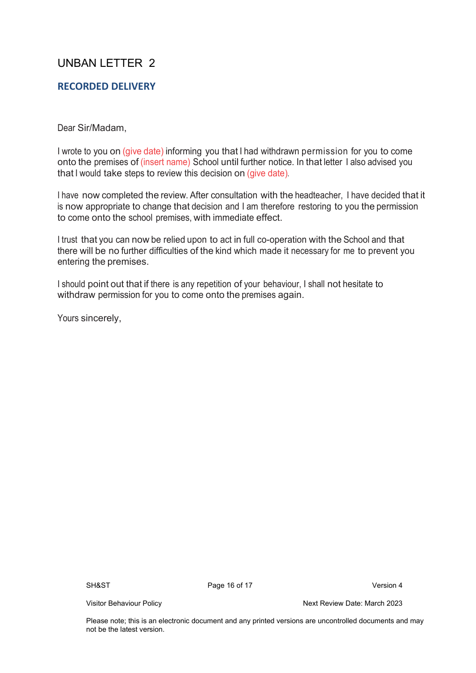## <span id="page-15-0"></span>UNBAN LETTER 2

#### **RECORDED DELIVERY**

#### Dear Sir/Madam,

I wrote to you on (give date) informing you that I had withdrawn permission for you to come onto the premises of (insert name) School until further notice. In that letter I also advised you that I would take steps to review this decision on (give date).

I have now completed the review. After consultation with the headteacher, I have decided that it is now appropriate to change that decision and I am therefore restoring to you the permission to come onto the school premises, with immediate effect.

I trust that you can now be relied upon to act in full co-operation with the School and that there will be no further difficulties of the kind which made it necessary for me to prevent you entering the premises.

I should point out that if there is any repetition of your behaviour, I shall not hesitate to withdraw permission for you to come onto the premises again.

Yours sincerely,

SH&ST Page 16 of 17 CHA Provides a Version 4

Visitor Behaviour Policy **Next Review Date: March 2023**